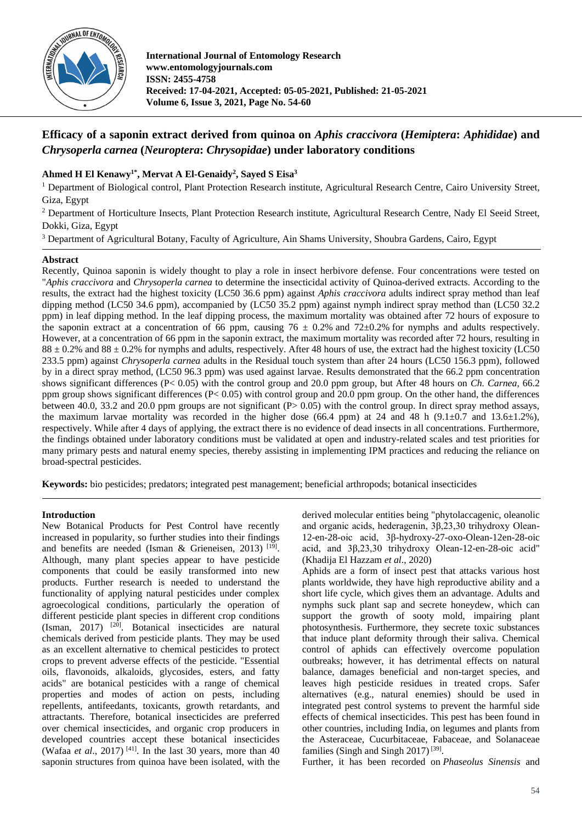

**International Journal of Entomology Research www.entomologyjournals.com ISSN: 2455-4758 Received: 17-04-2021, Accepted: 05-05-2021, Published: 21-05-2021 Volume 6, Issue 3, 2021, Page No. 54-60**

# **Efficacy of a saponin extract derived from quinoa on** *Aphis craccivora* **(***Hemiptera***:** *Aphididae***) and**  *Chrysoperla carnea* **(***Neuroptera***:** *Chrysopidae***) under laboratory conditions**

# **Ahmed H El Kenawy1\* , Mervat A El-Genaidy<sup>2</sup> , Sayed S Eisa<sup>3</sup>**

<sup>1</sup> Department of Biological control, Plant Protection Research institute, Agricultural Research Centre, Cairo University Street, Giza, Egypt

<sup>2</sup> Department of Horticulture Insects, Plant Protection Research institute, Agricultural Research Centre, Nady El Seeid Street, Dokki, Giza, Egypt

<sup>3</sup> Department of Agricultural Botany, Faculty of Agriculture, Ain Shams University, Shoubra Gardens, Cairo, Egypt

### **Abstract**

Recently, Quinoa saponin is widely thought to play a role in insect herbivore defense. Four concentrations were tested on "*Aphis craccivora* and *Chrysoperla carnea* to determine the insecticidal activity of Quinoa-derived extracts. According to the results, the extract had the highest toxicity (LC50 36.6 ppm) against *Aphis craccivora* adults indirect spray method than leaf dipping method (LC50 34.6 ppm), accompanied by (LC50 35.2 ppm) against nymph indirect spray method than (LC50 32.2 ppm) in leaf dipping method. In the leaf dipping process, the maximum mortality was obtained after 72 hours of exposure to the saponin extract at a concentration of 66 ppm, causing 76  $\pm$  0.2% and 72 $\pm$ 0.2% for nymphs and adults respectively. However, at a concentration of 66 ppm in the saponin extract, the maximum mortality was recorded after 72 hours, resulting in  $88 \pm 0.2\%$  and  $88 \pm 0.2\%$  for nymphs and adults, respectively. After 48 hours of use, the extract had the highest toxicity (LC50) 233.5 ppm) against *Chrysoperla carnea* adults in the Residual touch system than after 24 hours (LC50 156.3 ppm), followed by in a direct spray method, (LC50 96.3 ppm) was used against larvae. Results demonstrated that the 66.2 ppm concentration shows significant differences (P< 0.05) with the control group and 20.0 ppm group, but After 48 hours on *Ch. Carnea,* 66.2 ppm group shows significant differences ( $P < 0.05$ ) with control group and 20.0 ppm group. On the other hand, the differences between 40.0, 33.2 and 20.0 ppm groups are not significant  $(P> 0.05)$  with the control group. In direct spray method assays, the maximum larvae mortality was recorded in the higher dose (66.4 ppm) at 24 and 48 h (9.1 $\pm$ 0.7 and 13.6 $\pm$ 1.2%), respectively. While after 4 days of applying, the extract there is no evidence of dead insects in all concentrations. Furthermore, the findings obtained under laboratory conditions must be validated at open and industry-related scales and test priorities for many primary pests and natural enemy species, thereby assisting in implementing IPM practices and reducing the reliance on broad-spectral pesticides.

**Keywords:** bio pesticides; predators; integrated pest management; beneficial arthropods; botanical insecticides

#### **Introduction**

New Botanical Products for Pest Control have recently increased in popularity, so further studies into their findings and benefits are needed (Isman & Grieneisen, 2013)<sup>[19]</sup>. Although, many plant species appear to have pesticide components that could be easily transformed into new products. Further research is needed to understand the functionality of applying natural pesticides under complex agroecological conditions, particularly the operation of different pesticide plant species in different crop conditions (Isman, 2017) [20] . Botanical insecticides are natural chemicals derived from pesticide plants. They may be used as an excellent alternative to chemical pesticides to protect crops to prevent adverse effects of the pesticide. "Essential oils, flavonoids, alkaloids, glycosides, esters, and fatty acids" are botanical pesticides with a range of chemical properties and modes of action on pests, including repellents, antifeedants, toxicants, growth retardants, and attractants. Therefore, botanical insecticides are preferred over chemical insecticides, and organic crop producers in developed countries accept these botanical insecticides (Wafaa *et al.*, 2017)<sup>[41]</sup>. In the last 30 years, more than 40 saponin structures from quinoa have been isolated, with the derived molecular entities being "phytolaccagenic, oleanolic and organic acids, hederagenin, 3β,23,30 trihydroxy Olean-12-en-28-oic acid, 3β-hydroxy-27-oxo-Olean-12en-28-oic acid, and 3β,23,30 trihydroxy Olean-12-en-28-oic acid" (Khadija El Hazzam *et al*., 2020)

Aphids are a form of insect pest that attacks various host plants worldwide, they have high reproductive ability and a short life cycle, which gives them an advantage. Adults and nymphs suck plant sap and secrete honeydew, which can support the growth of sooty mold, impairing plant photosynthesis. Furthermore, they secrete toxic substances that induce plant deformity through their saliva. Chemical control of aphids can effectively overcome population outbreaks; however, it has detrimental effects on natural balance, damages beneficial and non-target species, and leaves high pesticide residues in treated crops. Safer alternatives (e.g., natural enemies) should be used in integrated pest control systems to prevent the harmful side effects of chemical insecticides. This pest has been found in other countries, including India, on legumes and plants from the Asteraceae, Cucurbitaceae, Fabaceae, and Solanaceae families (Singh and Singh 2017)<sup>[39]</sup>.

Further, it has been recorded on *Phaseolus Sinensis* and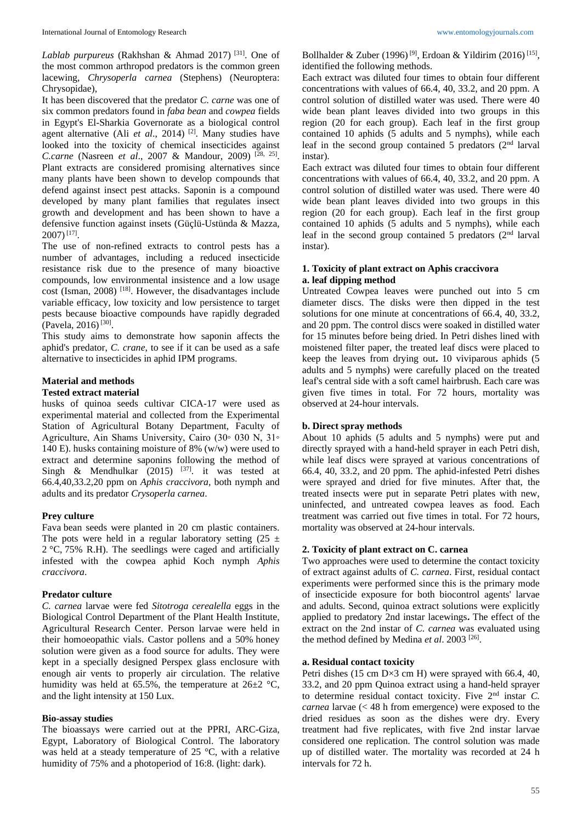*Lablab purpureus* (Rakhshan & Ahmad 2017) [31] . One of the most common arthropod predators is the common green lacewing, *Chrysoperla carnea* (Stephens) (Neuroptera: Chrysopidae),

It has been discovered that the predator *C. carne* was one of six common predators found in *faba bean* and *cowpea* fields in Egypt's El-Sharkia Governorate as a biological control agent alternative (Ali *et al.*, 2014)<sup>[2]</sup>. Many studies have looked into the toxicity of chemical insecticides against *C.carne* (Nasreen *et al*., 2007 & Mandour, 2009) [28, 25] . Plant extracts are considered promising alternatives since many plants have been shown to develop compounds that defend against insect pest attacks. Saponin is a compound developed by many plant families that regulates insect growth and development and has been shown to have a defensive function against insets (Güçlü-Ustünda & Mazza,  $2007)^{[17]}$ .

The use of non-refined extracts to control pests has a number of advantages, including a reduced insecticide resistance risk due to the presence of many bioactive compounds, low environmental insistence and a low usage  $cost$  (Isman, 2008)<sup>[18]</sup>. However, the disadvantages include variable efficacy, low toxicity and low persistence to target pests because bioactive compounds have rapidly degraded  $(Pavela, 2016)^{[30]}$ .

This study aims to demonstrate how saponin affects the aphid's predator, *C. crane*, to see if it can be used as a safe alternative to insecticides in aphid IPM programs.

## **Material and methods**

### **Tested extract material**

husks of quinoa seeds cultivar CICA-17 were used as experimental material and collected from the Experimental Station of Agricultural Botany Department, Faculty of Agriculture, Ain Shams University, Cairo (30◦ 030 N, 31◦ 140 E). husks containing moisture of 8% (w/w) were used to extract and determine saponins following the method of Singh & Mendhulkar  $(2015)$  <sup>[37]</sup>. it was tested at 66.4,40,33.2,20 ppm on *Aphis craccivora,* both nymph and adults and its predator *Crysoperla carnea*.

#### **Prey culture**

Fava bean seeds were planted in 20 cm plastic containers. The pots were held in a regular laboratory setting  $(25 \pm 1)$ 2 °C, 75% R.H). The seedlings were caged and artificially infested with the cowpea aphid Koch nymph *Aphis craccivora*.

#### **Predator culture**

*C. carnea* larvae were fed *Sitotroga cerealella* eggs in the Biological Control Department of the Plant Health Institute, Agricultural Research Center. Person larvae were held in their homoeopathic vials. Castor pollens and a 50% honey solution were given as a food source for adults. They were kept in a specially designed Perspex glass enclosure with enough air vents to properly air circulation. The relative humidity was held at 65.5%, the temperature at  $26\pm2$  °C, and the light intensity at 150 Lux.

#### **Bio-assay studies**

The bioassays were carried out at the PPRI, ARC-Giza, Egypt, Laboratory of Biological Control. The laboratory was held at a steady temperature of 25 °C, with a relative humidity of 75% and a photoperiod of 16:8. (light: dark).

Bollhalder & Zuber (1996)<sup>[9]</sup>, Erdoan & Yildirim (2016)<sup>[15]</sup>, identified the following methods.

Each extract was diluted four times to obtain four different concentrations with values of 66.4, 40, 33.2, and 20 ppm. A control solution of distilled water was used. There were 40 wide bean plant leaves divided into two groups in this region (20 for each group). Each leaf in the first group contained 10 aphids (5 adults and 5 nymphs), while each leaf in the second group contained 5 predators (2nd larval instar).

Each extract was diluted four times to obtain four different concentrations with values of 66.4, 40, 33.2, and 20 ppm. A control solution of distilled water was used. There were 40 wide bean plant leaves divided into two groups in this region (20 for each group). Each leaf in the first group contained 10 aphids (5 adults and 5 nymphs), while each leaf in the second group contained  $5$  predators ( $2<sup>nd</sup>$  larval instar).

### **1. Toxicity of plant extract on Aphis craccivora a. leaf dipping method**

Untreated Cowpea leaves were punched out into 5 cm diameter discs. The disks were then dipped in the test solutions for one minute at concentrations of 66.4, 40, 33.2, and 20 ppm. The control discs were soaked in distilled water for 15 minutes before being dried. In Petri dishes lined with moistened filter paper, the treated leaf discs were placed to keep the leaves from drying out. 10 viviparous aphids (5) adults and 5 nymphs) were carefully placed on the treated leaf's central side with a soft camel hairbrush. Each care was given five times in total. For 72 hours, mortality was observed at 24-hour intervals.

### **b. Direct spray methods**

About 10 aphids (5 adults and 5 nymphs) were put and directly sprayed with a hand-held sprayer in each Petri dish, while leaf discs were sprayed at various concentrations of 66.4, 40, 33.2, and 20 ppm. The aphid-infested Petri dishes were sprayed and dried for five minutes. After that, the treated insects were put in separate Petri plates with new, uninfected, and untreated cowpea leaves as food. Each treatment was carried out five times in total. For 72 hours, mortality was observed at 24-hour intervals.

# **2. Toxicity of plant extract on C. carnea**

Two approaches were used to determine the contact toxicity of extract against adults of *C. carnea*. First, residual contact experiments were performed since this is the primary mode of insecticide exposure for both biocontrol agents' larvae and adults. Second, quinoa extract solutions were explicitly applied to predatory 2nd instar lacewings. The effect of the extract on the 2nd instar of *C. carnea* was evaluated using the method defined by Medina et al. 2003<sup>[26]</sup>.

#### **a. Residual contact toxicity**

Petri dishes (15 cm D $\times$ 3 cm H) were sprayed with 66.4, 40, 33.2, and 20 ppm Quinoa extract using a hand-held sprayer to determine residual contact toxicity. Five 2nd instar *C. carnea* larvae (< 48 h from emergence) were exposed to the dried residues as soon as the dishes were dry. Every treatment had five replicates, with five 2nd instar larvae considered one replication. The control solution was made up of distilled water. The mortality was recorded at 24 h intervals for 72 h.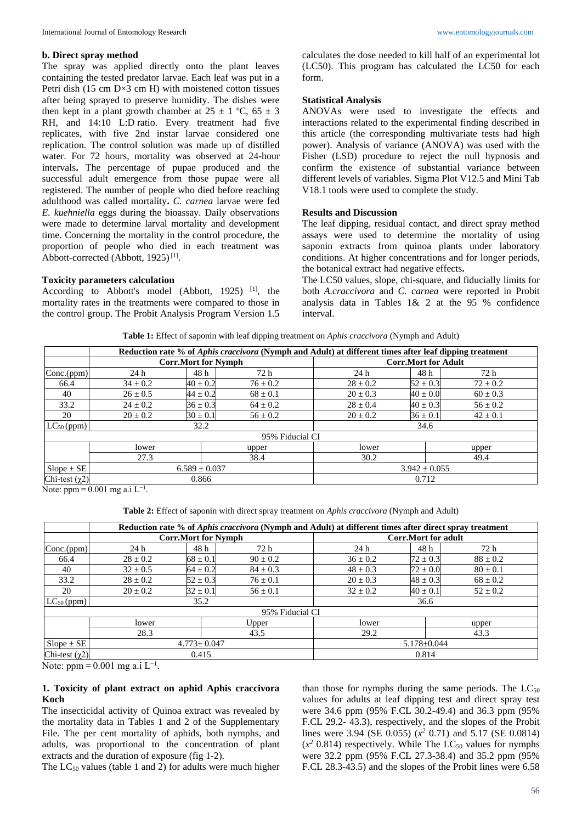#### **b. Direct spray method**

The spray was applied directly onto the plant leaves containing the tested predator larvae. Each leaf was put in a Petri dish (15 cm D×3 cm H) with moistened cotton tissues after being sprayed to preserve humidity. The dishes were then kept in a plant growth chamber at  $25 \pm 1$  °C,  $65 \pm 3$ RH, and 14:10 L:D ratio. Every treatment had five replicates, with five 2nd instar larvae considered one replication. The control solution was made up of distilled water. For 72 hours, mortality was observed at 24-hour intervals**.** The percentage of pupae produced and the successful adult emergence from those pupae were all registered. The number of people who died before reaching adulthood was called mortality**.** *C. carnea* larvae were fed *E. kuehniella* eggs during the bioassay. Daily observations were made to determine larval mortality and development time. Concerning the mortality in the control procedure, the proportion of people who died in each treatment was Abbott-corrected (Abbott,  $1925$ )<sup>[1]</sup>.

#### **Toxicity parameters calculation**

According to Abbott's model (Abbott, 1925)<sup>[1]</sup>, the mortality rates in the treatments were compared to those in the control group. The Probit Analysis Program Version 1.5 calculates the dose needed to kill half of an experimental lot (LC50). This program has calculated the LC50 for each form.

#### **Statistical Analysis**

ANOVAs were used to investigate the effects and interactions related to the experimental finding described in this article (the corresponding multivariate tests had high power). Analysis of variance (ANOVA) was used with the Fisher (LSD) procedure to reject the null hypnosis and confirm the existence of substantial variance between different levels of variables. Sigma Plot V12.5 and Mini Tab V18.1 tools were used to complete the study.

#### **Results and Discussion**

The leaf dipping, residual contact, and direct spray method assays were used to determine the mortality of using saponin extracts from quinoa plants under laboratory conditions. At higher concentrations and for longer periods, the botanical extract had negative effects **.**

The LC50 values, slope, chi-square, and fiducially limits for both *A.craccivora* and *C. carnea* were reported in Probit analysis data in Tables  $1\& 2$  at the  $95\%$  confidence interval.

| Table 1: Effect of saponin with leaf dipping treatment on Aphis craccivora (Nymph and Adult) |
|----------------------------------------------------------------------------------------------|
|----------------------------------------------------------------------------------------------|

|                     | Reduction rate % of Aphis craccivora (Nymph and Adult) at different times after leaf dipping treatment |                            |              |                            |              |              |  |  |
|---------------------|--------------------------------------------------------------------------------------------------------|----------------------------|--------------|----------------------------|--------------|--------------|--|--|
|                     |                                                                                                        | <b>Corr.Mort for Nymph</b> |              | <b>Corr.Mort for Adult</b> |              |              |  |  |
| Conc.(ppm)          | 24 h                                                                                                   | 48 h                       | 72 h         | 24h                        | 48 h         | 72 h         |  |  |
| 66.4                | $34 \pm 0.2$                                                                                           | $40 \pm 0.2$               | $76 \pm 0.2$ | $28 \pm 0.2$               | $52 \pm 0.3$ | $72 \pm 0.2$ |  |  |
| 40                  | $26 \pm 0.5$                                                                                           | $44 \pm 0.2$               | $68 \pm 0.1$ | $20 \pm 0.3$               | $40 \pm 0.0$ | $60 \pm 0.3$ |  |  |
| 33.2                | $24 \pm 0.2$                                                                                           | $36 \pm 0.3$               | $64 \pm 0.2$ | $28 \pm 0.4$               | $40 \pm 0.3$ | $56 \pm 0.2$ |  |  |
| 20                  | $20 \pm 0.2$                                                                                           | $30 \pm 0.1$               | $56 \pm 0.2$ | $20 \pm 0.2$               | $36 \pm 0.1$ | $42 \pm 0.1$ |  |  |
| $LC_{50}$ (ppm)     | 32.2                                                                                                   |                            |              |                            | 34.6         |              |  |  |
| 95% Fiducial CI     |                                                                                                        |                            |              |                            |              |              |  |  |
|                     | lower                                                                                                  |                            | upper        | lower                      |              | upper        |  |  |
|                     | 27.3                                                                                                   |                            | 38.4         | 30.2                       |              | 49.4         |  |  |
| $Slope \pm SE$      | $6.589 \pm 0.037$                                                                                      |                            |              | $3.942 \pm 0.055$          |              |              |  |  |
| Chi-test $(\chi 2)$ | 0.866                                                                                                  |                            |              | 0.712                      |              |              |  |  |

Note: ppm =  $0.001$  mg a.i L<sup>-1</sup>.

**Table 2:** Effect of saponin with direct spray treatment on *Aphis craccivora* (Nymph and Adult)

|                       | Reduction rate % of Aphis craccivora (Nymph and Adult) at different times after direct spray treatment |              |              |              |                            |              |  |  |
|-----------------------|--------------------------------------------------------------------------------------------------------|--------------|--------------|--------------|----------------------------|--------------|--|--|
|                       | <b>Corr.Mort for Nymph</b>                                                                             |              |              |              | <b>Corr.Mort for adult</b> |              |  |  |
| Conc.(ppm)            | 24 h                                                                                                   | 48 h         | 72 h         | 24 h         | 48 h                       | 72 h         |  |  |
| 66.4                  | $28 \pm 0.2$                                                                                           | $68 \pm 0.1$ | $90 \pm 0.2$ | $36 \pm 0.2$ | $72 \pm 0.3$               | $88 \pm 0.2$ |  |  |
| 40                    | $32 \pm 0.5$                                                                                           | $64 \pm 0.2$ | $84 \pm 0.3$ | $48 \pm 0.3$ | $72 \pm 0.0$               | $80 \pm 0.1$ |  |  |
| 33.2                  | $28 \pm 0.2$                                                                                           | $52 \pm 0.3$ | $76 \pm 0.1$ | $20 \pm 0.3$ | $48 \pm 0.3$               | $68 \pm 0.2$ |  |  |
| 20                    | $20 \pm 0.2$                                                                                           | $32 \pm 0.1$ | $56 \pm 0.1$ | $32 \pm 0.2$ | $40 \pm 0.1$               | $52 \pm 0.2$ |  |  |
| $LC_{50}$ (ppm)       | 35.2                                                                                                   |              |              |              | 36.6                       |              |  |  |
| 95% Fiducial CI       |                                                                                                        |              |              |              |                            |              |  |  |
|                       | Upper<br>lower                                                                                         |              |              | lower        |                            | upper        |  |  |
|                       | 28.3                                                                                                   |              | 43.5         | 29.2         |                            | 43.3         |  |  |
| $Slope \pm SE$        | $4.773 \pm 0.047$                                                                                      |              |              |              | $5.178 \pm 0.044$          |              |  |  |
| Chi-test $(\gamma 2)$ | 0.415                                                                                                  |              |              | 0.814        |                            |              |  |  |

Note: ppm =  $0.001$  mg a.i L<sup>-1</sup>.

### **1. Toxicity of plant extract on aphid Aphis craccivora Koch**

The insecticidal activity of Quinoa extract was revealed by the mortality data in Tables 1 and 2 of the Supplementary File. The per cent mortality of aphids, both nymphs, and adults, was proportional to the concentration of plant extracts and the duration of exposure (fig 1-2).

The  $LC_{50}$  values (table 1 and 2) for adults were much higher

than those for nymphs during the same periods. The  $LC_{50}$ values for adults at leaf dipping test and direct spray test were 34.6 ppm (95% F.CL 30.2-49.4) and 36.3 ppm (95% F.CL 29.2- 43.3), respectively, and the slopes of the Probit lines were 3.94 (SE 0.055) (*x <sup>2</sup>* 0.71) and 5.17 (SE 0.0814)  $(x^2 0.814)$  respectively. While The LC<sub>50</sub> values for nymphs were 32.2 ppm (95% F.CL 27.3-38.4) and 35.2 ppm (95% F.CL 28.3-43.5) and the slopes of the Probit lines were 6.58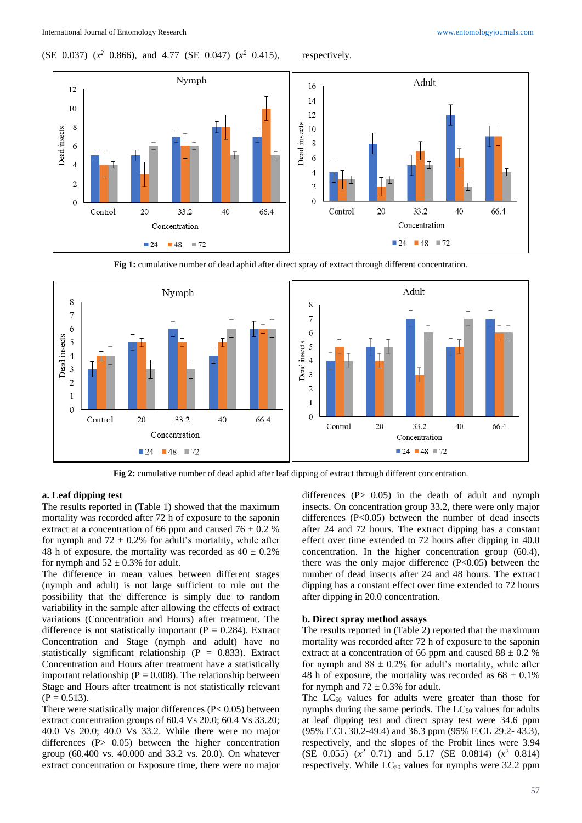(SE 0.037) (*x <sup>2</sup>* 0.866), and 4.77 (SE 0.047) (*x*

respectively.



**Fig 1:** cumulative number of dead aphid after direct spray of extract through different concentration.



**Fig 2:** cumulative number of dead aphid after leaf dipping of extract through different concentration.

### **a. Leaf dipping test**

The results reported in (Table 1) showed that the maximum mortality was recorded after 72 h of exposure to the saponin extract at a concentration of 66 ppm and caused  $76 \pm 0.2$  % for nymph and  $72 \pm 0.2\%$  for adult's mortality, while after 48 h of exposure, the mortality was recorded as  $40 \pm 0.2\%$ for nymph and  $52 \pm 0.3\%$  for adult.

The difference in mean values between different stages (nymph and adult) is not large sufficient to rule out the possibility that the difference is simply due to random variability in the sample after allowing the effects of extract variations (Concentration and Hours) after treatment. The difference is not statistically important ( $P = 0.284$ ). Extract Concentration and Stage (nymph and adult) have no statistically significant relationship ( $P = 0.833$ ). Extract Concentration and Hours after treatment have a statistically important relationship ( $P = 0.008$ ). The relationship between Stage and Hours after treatment is not statistically relevant  $(P = 0.513)$ .

There were statistically major differences (P< 0.05) between extract concentration groups of 60.4 Vs 20.0; 60.4 Vs 33.20; 40.0 Vs 20.0; 40.0 Vs 33.2. While there were no major differences (P  $0.05$ ) between the higher concentration group (60.400 vs. 40.000 and 33.2 vs. 20.0). On whatever extract concentration or Exposure time, there were no major

differences  $(P> 0.05)$  in the death of adult and nymph insects. On concentration group 33.2, there were only major differences  $(P<0.05)$  between the number of dead insects after 24 and 72 hours. The extract dipping has a constant effect over time extended to 72 hours after dipping in 40.0 concentration. In the higher concentration group (60.4), there was the only major difference  $(P<0.05)$  between the number of dead insects after 24 and 48 hours. The extract dipping has a constant effect over time extended to 72 hours after dipping in 20.0 concentration.

#### **b. Direct spray method assays**

The results reported in (Table 2) reported that the maximum mortality was recorded after 72 h of exposure to the saponin extract at a concentration of 66 ppm and caused  $88 \pm 0.2$  % for nymph and  $88 \pm 0.2\%$  for adult's mortality, while after 48 h of exposure, the mortality was recorded as  $68 \pm 0.1\%$ for nymph and  $72 \pm 0.3\%$  for adult.

The  $LC_{50}$  values for adults were greater than those for nymphs during the same periods. The  $LC_{50}$  values for adults at leaf dipping test and direct spray test were 34.6 ppm (95% F.CL 30.2-49.4) and 36.3 ppm (95% F.CL 29.2- 43.3), respectively, and the slopes of the Probit lines were 3.94 (SE 0.055) (*x <sup>2</sup>* 0.71) and 5.17 (SE 0.0814) (*x <sup>2</sup>* 0.814) respectively. While  $LC_{50}$  values for nymphs were 32.2 ppm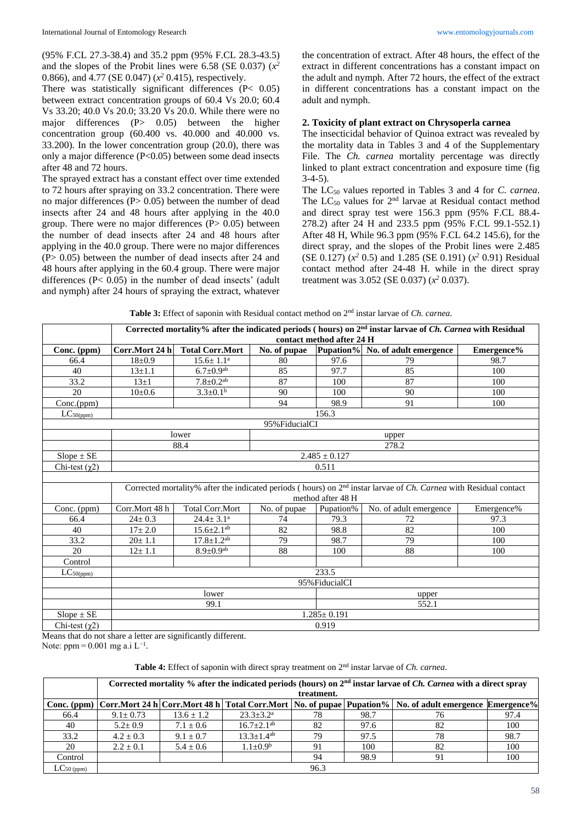(95% F.CL 27.3-38.4) and 35.2 ppm (95% F.CL 28.3-43.5) and the slopes of the Probit lines were 6.58 (SE 0.037)  $(x^2)$ 0.866), and 4.77 (SE 0.047) (*x <sup>2</sup>* 0.415), respectively.

There was statistically significant differences (P< 0.05) between extract concentration groups of 60.4 Vs 20.0; 60.4 Vs 33.20; 40.0 Vs 20.0; 33.20 Vs 20.0. While there were no major differences (P> 0.05) between the higher concentration group (60.400 vs. 40.000 and 40.000 vs. 33.200). In the lower concentration group (20.0), there was only a major difference (P<0.05) between some dead insects after 48 and 72 hours.

The sprayed extract has a constant effect over time extended to 72 hours after spraying on 33.2 concentration. There were no major differences (P> 0.05) between the number of dead insects after 24 and 48 hours after applying in the 40.0 group. There were no major differences  $(P > 0.05)$  between the number of dead insects after 24 and 48 hours after applying in the 40.0 group. There were no major differences (P> 0.05) between the number of dead insects after 24 and 48 hours after applying in the 60.4 group. There were major differences (P< 0.05) in the number of dead insects' (adult and nymph) after 24 hours of spraying the extract, whatever

the concentration of extract. After 48 hours, the effect of the extract in different concentrations has a constant impact on the adult and nymph. After 72 hours, the effect of the extract in different concentrations has a constant impact on the adult and nymph.

#### **2. Toxicity of plant extract on Chrysoperla carnea**

The insecticidal behavior of Quinoa extract was revealed by the mortality data in Tables 3 and 4 of the Supplementary File. The *Ch. carnea* mortality percentage was directly linked to plant extract concentration and exposure time (fig  $3-4-5$ ).

The LC<sup>50</sup> values reported in Tables 3 and 4 for *C. carnea*. The  $LC_{50}$  values for  $2<sup>nd</sup>$  larvae at Residual contact method and direct spray test were 156.3 ppm (95% F.CL 88.4- 278.2) after 24 H and 233.5 ppm (95% F.CL 99.1-552.1) After 48 H, While 96.3 ppm (95% F.CL 64.2 145.6), for the direct spray, and the slopes of the Probit lines were 2.485 (SE 0.127)  $(x^2$  0.5) and 1.285 (SE 0.191)  $(x^2$  0.91) Residual contact method after 24-48 H. while in the direct spray treatment was 3.052 (SE 0.037) (*x <sup>2</sup>* 0.037).

**Table 3:** Effect of saponin with Residual contact method on 2nd instar larvae of *Ch. carnea*.

|                       | Corrected mortality% after the indicated periods (hours) on 2 <sup>nd</sup> instar larvae of Ch. Carnea with Residual<br>contact method after 24 H |                              |                |           |                                  |            |  |  |
|-----------------------|----------------------------------------------------------------------------------------------------------------------------------------------------|------------------------------|----------------|-----------|----------------------------------|------------|--|--|
| Conc. (ppm)           | Corr.Mort 24 h                                                                                                                                     | <b>Total Corr.Mort</b>       | No. of pupae   |           | Pupation% No. of adult emergence | Emergence% |  |  |
| 66.4                  | $18+0.9$                                                                                                                                           | $15.6 \pm 1.1^a$             | 80             | 97.6      | 79                               | 98.7       |  |  |
| 40                    | $13+1.1$                                                                                                                                           | $6.7 \pm 0.9^{ab}$           | 85             | 97.7      | 85                               | 100        |  |  |
| 33.2                  | $13\pm1$                                                                                                                                           | $7.8 \pm 0.2$ <sup>ab</sup>  | 87             | 100       | 87                               | 100        |  |  |
| 20                    | $10+0.6$                                                                                                                                           | $3.3 \pm 0.1^b$              | 90             | 100       | 90                               | 100        |  |  |
| Conc.(ppm)            |                                                                                                                                                    |                              | 94             | 98.9      | 91                               | 100        |  |  |
| $LC_{50(ppm)}$        |                                                                                                                                                    |                              |                | 156.3     |                                  |            |  |  |
|                       |                                                                                                                                                    |                              | 95% FiducialCI |           |                                  |            |  |  |
|                       | lower<br>upper                                                                                                                                     |                              |                |           |                                  |            |  |  |
|                       | 278.2<br>88.4                                                                                                                                      |                              |                |           |                                  |            |  |  |
| $Slope \pm SE$        | $2.485 \pm 0.127$                                                                                                                                  |                              |                |           |                                  |            |  |  |
| Chi-test $(\chi 2)$   | 0.511                                                                                                                                              |                              |                |           |                                  |            |  |  |
|                       |                                                                                                                                                    |                              |                |           |                                  |            |  |  |
|                       | Corrected mortality% after the indicated periods (hours) on $2nd$ instar larvae of <i>Ch. Carnea</i> with Residual contact                         |                              |                |           |                                  |            |  |  |
|                       | method after 48 H                                                                                                                                  |                              |                |           |                                  |            |  |  |
| Conc. (ppm)           | Corr.Mort 48 h                                                                                                                                     | <b>Total Corr.Mort</b>       | No. of pupae   | Pupation% | No. of adult emergence           | Emergence% |  |  |
| 66.4                  | $24 \pm 0.3$                                                                                                                                       | $24.4 \pm 3.1^a$             | 74             | 79.3      | 72                               | 97.3       |  |  |
| 40                    | $17 \pm 2.0$                                                                                                                                       | $15.6 \pm 2.1$ <sup>ab</sup> | 82             | 98.8      | 82                               | 100        |  |  |
| 33.2                  | $20 \pm 1.1$                                                                                                                                       | $17.8 \pm 1.2$ <sup>ab</sup> | 79             | 98.7      | 79                               | 100        |  |  |
| 20                    | $12 \pm 1.1$                                                                                                                                       | $8.9 \pm 0.9$ <sup>ab</sup>  | 88             | 100       | 88                               | 100        |  |  |
| Control               |                                                                                                                                                    |                              |                |           |                                  |            |  |  |
| $LC_{50(ppm)}$        | 233.5                                                                                                                                              |                              |                |           |                                  |            |  |  |
|                       | 95% FiducialCI                                                                                                                                     |                              |                |           |                                  |            |  |  |
|                       | lower<br>upper                                                                                                                                     |                              |                |           |                                  |            |  |  |
|                       | 552.1<br>99.1                                                                                                                                      |                              |                |           |                                  |            |  |  |
| $Slope \pm SE$        | $1.285 \pm 0.191$                                                                                                                                  |                              |                |           |                                  |            |  |  |
| Chi-test $(\gamma 2)$ | 0.919                                                                                                                                              |                              |                |           |                                  |            |  |  |

Means that do not share a letter are significantly different.

Note: ppm =  $0.001$  mg a.i L<sup>-1</sup>.

**Table 4:** Effect of saponin with direct spray treatment on 2nd instar larvae of *Ch. carnea*.

|                | Corrected mortality % after the indicated periods (hours) on $2nd$ instar larvae of <i>Ch. Carnea</i> with a direct spray |                |                        |      |      |                                                                                                              |      |
|----------------|---------------------------------------------------------------------------------------------------------------------------|----------------|------------------------|------|------|--------------------------------------------------------------------------------------------------------------|------|
|                | treatment.                                                                                                                |                |                        |      |      |                                                                                                              |      |
| $Conc.$ (ppm)  |                                                                                                                           |                |                        |      |      | Corr.Mort 24 h Corr.Mort 48 h Total Corr.Mort   No. of pupae   Pupation%   No. of adult emergence Emergence% |      |
| 66.4           | $9.1 \pm 0.73$                                                                                                            | $13.6 \pm 1.2$ | $23.3 \pm 3.2^{\rm a}$ | 78   | 98.7 | 76                                                                                                           | 97.4 |
| 40             | $5.2 + 0.9$                                                                                                               | $7.1 \pm 0.6$  | $16.7 + 2.1^{ab}$      | 82   | 97.6 | 82                                                                                                           | 100  |
| 33.2           | $4.2 \pm 0.3$                                                                                                             | $9.1 \pm 0.7$  | $13.3 + 1.4^{ab}$      | 79   | 97.5 | 78                                                                                                           | 98.7 |
| 20             | $2.2 + 0.1$                                                                                                               | $5.4 \pm 0.6$  | $1.1 + 0.9^b$          | 91   | 100  | 82                                                                                                           | 100  |
| Control        |                                                                                                                           |                |                        | 94   | 98.9 | 91                                                                                                           | 100  |
| $LC_{50(ppm)}$ |                                                                                                                           |                |                        | 96.3 |      |                                                                                                              |      |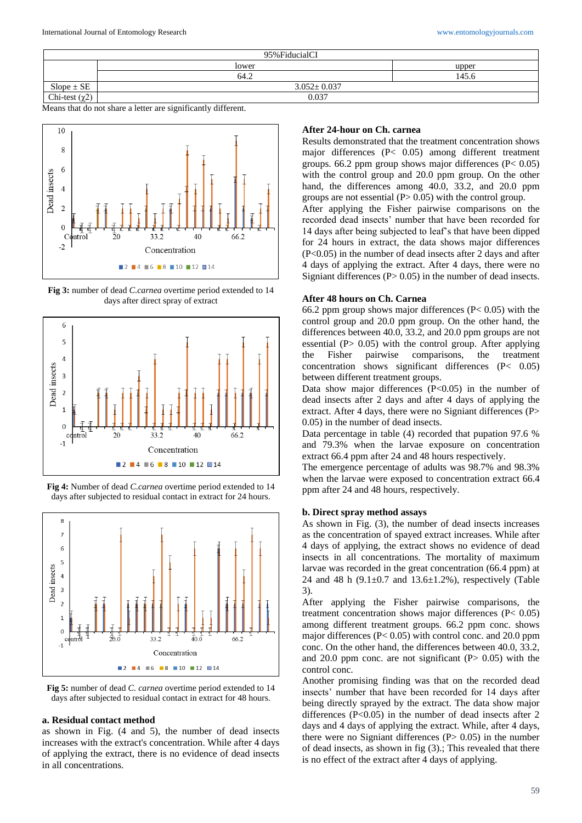| 95% Fiducial CI     |                   |       |  |  |  |
|---------------------|-------------------|-------|--|--|--|
|                     | lower             | upper |  |  |  |
|                     | 64.2              | 145.6 |  |  |  |
| $Slope \pm SE$      | $3.052 \pm 0.037$ |       |  |  |  |
| Chi-test $(\chi^2)$ | 0.037             |       |  |  |  |

Means that do not share a letter are significantly different.



**Fig 3:** number of dead *C.carnea* overtime period extended to 14 days after direct spray of extract







**Fig 5:** number of dead *C. carnea* overtime period extended to 14 days after subjected to residual contact in extract for 48 hours.

#### **a. Residual contact method**

as shown in Fig. (4 and 5), the number of dead insects increases with the extract's concentration. While after 4 days of applying the extract, there is no evidence of dead insects in all concentrations.

#### **After 24-hour on Ch. carnea**

Results demonstrated that the treatment concentration shows major differences (P< 0.05) among different treatment groups. 66.2 ppm group shows major differences  $(P< 0.05)$ with the control group and 20.0 ppm group. On the other hand, the differences among 40.0, 33.2, and 20.0 ppm groups are not essential  $(P> 0.05)$  with the control group.

After applying the Fisher pairwise comparisons on the recorded dead insects' number that have been recorded for 14 days after being subjected to leaf's that have been dipped for 24 hours in extract, the data shows major differences (P<0.05) in the number of dead insects after 2 days and after 4 days of applying the extract. After 4 days, there were no Signiant differences  $(P> 0.05)$  in the number of dead insects.

#### **After 48 hours on Ch. Carnea**

66.2 ppm group shows major differences ( $P < 0.05$ ) with the control group and 20.0 ppm group. On the other hand, the differences between 40.0, 33.2, and 20.0 ppm groups are not essential (P> 0.05) with the control group. After applying the Fisher pairwise comparisons, the treatment concentration shows significant differences (P< 0.05) between different treatment groups.

Data show major differences  $(P<0.05)$  in the number of dead insects after 2 days and after 4 days of applying the extract. After 4 days, there were no Signiant differences (P> 0.05) in the number of dead insects.

Data percentage in table (4) recorded that pupation 97.6 % and 79.3% when the larvae exposure on concentration extract 66.4 ppm after 24 and 48 hours respectively.

The emergence percentage of adults was 98.7% and 98.3% when the larvae were exposed to concentration extract 66.4 ppm after 24 and 48 hours, respectively.

#### **b. Direct spray method assays**

As shown in Fig. (3), the number of dead insects increases as the concentration of spayed extract increases. While after 4 days of applying, the extract shows no evidence of dead insects in all concentrations. The mortality of maximum larvae was recorded in the great concentration (66.4 ppm) at 24 and 48 h  $(9.1 \pm 0.7$  and  $13.6 \pm 1.2$ %), respectively (Table 3).

After applying the Fisher pairwise comparisons, the treatment concentration shows major differences (P< 0.05) among different treatment groups. 66.2 ppm conc. shows major differences (P< 0.05) with control conc. and 20.0 ppm conc. On the other hand, the differences between 40.0, 33.2, and 20.0 ppm conc. are not significant  $(P> 0.05)$  with the control conc.

Another promising finding was that on the recorded dead insects' number that have been recorded for 14 days after being directly sprayed by the extract. The data show major differences  $(P<0.05)$  in the number of dead insects after 2 days and 4 days of applying the extract. While, after 4 days, there were no Signiant differences  $(P> 0.05)$  in the number of dead insects, as shown in fig (3).; This revealed that there is no effect of the extract after 4 days of applying.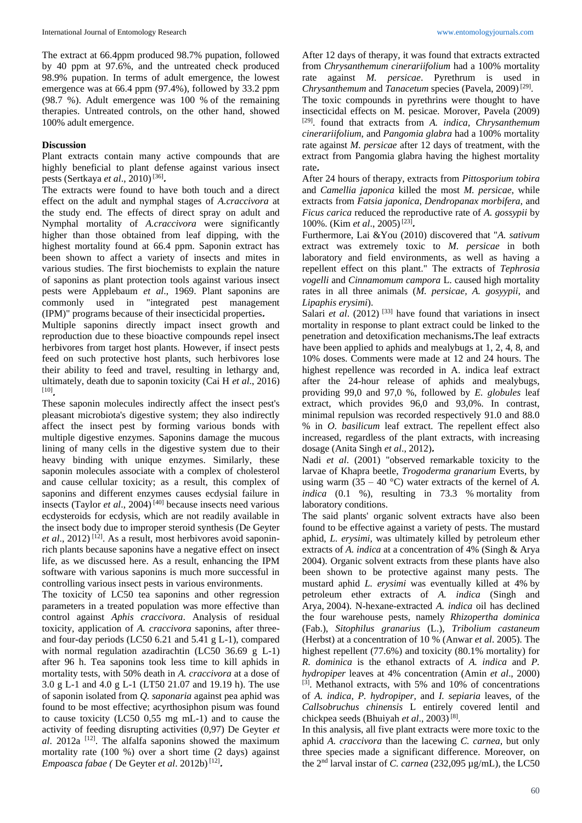The extract at 66.4ppm produced 98.7% pupation, followed by 40 ppm at 97.6%, and the untreated check produced 98.9% pupation. In terms of adult emergence, the lowest emergence was at 66.4 ppm (97.4%), followed by 33.2 ppm (98.7 %). Adult emergence was 100 % of the remaining therapies. Untreated controls, on the other hand, showed 100% adult emergence.

### **Discussion**

Plant extracts contain many active compounds that are highly beneficial to plant defense against various insect pests (Sertkaya *et al.*, 2010)<sup>[36]</sup>.

The extracts were found to have both touch and a direct effect on the adult and nymphal stages of *A.craccivora* at the study end. The effects of direct spray on adult and Nymphal mortality of *A.craccivora* were significantly higher than those obtained from leaf dipping, with the highest mortality found at 66.4 ppm. Saponin extract has been shown to affect a variety of insects and mites in various studies. The first biochemists to explain the nature of saponins as plant protection tools against various insect pests were Applebaum *et al*., 1969. Plant saponins are commonly used in "integrated pest management (IPM)" programs because of their insecticidal properties **.**

Multiple saponins directly impact insect growth and reproduction due to these bioactive compounds repel insect herbivores from target host plants. However, if insect pests feed on such protective host plants, such herbivores lose their ability to feed and travel, resulting in lethargy and, ultimately, death due to saponin toxicity (Cai H *et al*., 2016) [10] **.**

These saponin molecules indirectly affect the insect pest's pleasant microbiota's digestive system; they also indirectly affect the insect pest by forming various bonds with multiple digestive enzymes. Saponins damage the mucous lining of many cells in the digestive system due to their heavy binding with unique enzymes. Similarly, these saponin molecules associate with a complex of cholesterol and cause cellular toxicity; as a result, this complex of saponins and different enzymes causes ecdysial failure in insects (Taylor *et al*., 2004) [40] because insects need various ecdysteroids for ecdysis, which are not readily available in the insect body due to improper steroid synthesis (De Geyter et al., 2012)<sup>[12]</sup>. As a result, most herbivores avoid saponinrich plants because saponins have a negative effect on insect life, as we discussed here. As a result, enhancing the IPM software with various saponins is much more successful in controlling various insect pests in various environments.

The toxicity of LC50 tea saponins and other regression parameters in a treated population was more effective than control against *Aphis craccivora*. Analysis of residual toxicity, application of *A. craccivora* saponins, after threeand four-day periods (LC50 6.21 and 5.41 g L-1), compared with normal regulation azadirachtin (LC50 36.69 g L-1) after 96 h. Tea saponins took less time to kill aphids in mortality tests, with 50% death in *A. craccivora* at a dose of 3.0 g L-1 and 4.0 g L-1 (LT50 21.07 and 19.19 h). The use of saponin isolated from *Q. saponaria* against pea aphid was found to be most effective; acyrthosiphon pisum was found to cause toxicity (LC50 0,55 mg mL-1) and to cause the activity of feeding disrupting activities (0,97) De Geyter *et*   $al. 2012a$ <sup>[12]</sup>. The alfalfa saponins showed the maximum mortality rate (100 %) over a short time (2 days) against *Empoasca fabae (*De Geyter *et al*. 2012b) [12] **.**

After 12 days of therapy, it was found that extracts extracted from *Chrysanthemum cinerariifolium* had a 100% mortality rate against *M. persicae*. Pyrethrum is used in Chrysanthemum and *Tanacetum* species (Pavela, 2009)<sup>[29]</sup>.

The toxic compounds in pyrethrins were thought to have insecticidal effects on M. pesicae. Morover, Pavela (2009) [29] . found that extracts from *A. indica, Chrysanthemum cinerariifolium*, and *Pangomia glabra* had a 100% mortality rate against *M. persicae* after 12 days of treatment, with the extract from Pangomia glabra having the highest mortality rate **.**

After 24 hours of therapy, extracts from *Pittosporium tobira*  and *Camellia japonica* killed the most *M. persicae*, while extracts from *Fatsia japonica*, *Dendropanax morbifera*, and *Ficus carica* reduced the reproductive rate of *A. gossypii* by 100%. (Kim *et al.*, 2005)<sup>[23]</sup>.

Furthermore, Lai &You (2010) discovered that "*A. sativum* extract was extremely toxic to *M. persicae* in both laboratory and field environments, as well as having a repellent effect on this plant." The extracts of *Tephrosia vogelli* and *Cinnamomum campora* L. caused high mortality rates in all three animals (*M. persicae, A. gosyypii*, and *Lipaphis erysimi*).

Salari *et al.* (2012)<sup>[33]</sup> have found that variations in insect mortality in response to plant extract could be linked to the penetration and detoxification mechanisms **.**The leaf extracts have been applied to aphids and mealybugs at 1, 2, 4, 8, and 10% doses. Comments were made at 12 and 24 hours. The highest repellence was recorded in A. indica leaf extract after the 24-hour release of aphids and mealybugs, providing 99,0 and 97,0 %, followed by *E. globules* leaf extract, which provides 96,0 and 93,0%. In contrast, minimal repulsion was recorded respectively 91.0 and 88.0 % in *O. basilicum* leaf extract. The repellent effect also increased, regardless of the plant extracts, with increasing dosage (Anita Singh *et al.*, 2012).

Nadi *et al*. (2001) "observed remarkable toxicity to the larvae of Khapra beetle, *Trogoderma granarium* Everts, by using warm  $(35 - 40 \degree C)$  water extracts of the kernel of *A*. *indica* (0.1 %), resulting in 73.3 % mortality from laboratory conditions.

The said plants' organic solvent extracts have also been found to be effective against a variety of pests. The mustard aphid, *L. erysimi*, was ultimately killed by petroleum ether extracts of *A. indica* at a concentration of 4% (Singh & Arya 2004). Organic solvent extracts from these plants have also been shown to be protective against many pests. The mustard aphid *L. erysimi* was eventually killed at 4% by petroleum ether extracts of *A. indica* (Singh and Arya, 2004). N-hexane-extracted *A. indica* oil has declined the four warehouse pests, namely *Rhizopertha dominica* (Fab.), *Sitophilus granarius* (L.), *Tribolium castaneum* (Herbst) at a concentration of 10 % (Anwar *et al*. 2005). The highest repellent (77.6%) and toxicity (80.1% mortality) for *R. dominica* is the ethanol extracts of *A. indica* and *P. hydropiper* leaves at 4% concentration (Amin *et al*., 2000) [3]. Methanol extracts, with 5% and 10% of concentrations of *A. indica*, *P. hydropiper*, and *I. sepiaria* leaves, of the *Callsobruchus chinensis* L entirely covered lentil and chickpea seeds (Bhuiyah *et al*., 2003) [8] .

In this analysis, all five plant extracts were more toxic to the aphid *A. craccivora* than the lacewing *C. carnea*, but only three species made a significant difference. Moreover, on the 2nd larval instar of *C. carnea* (232,095 µg/mL), the LC50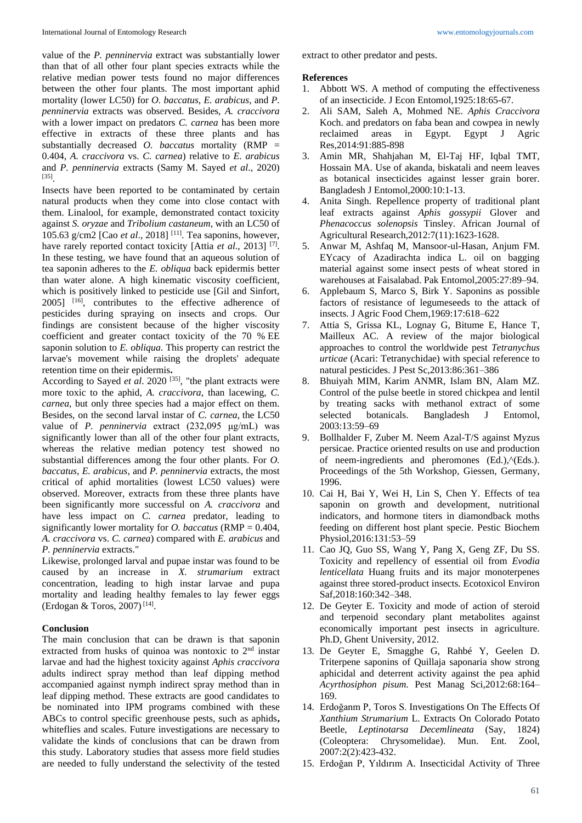value of the *P. penninervia* extract was substantially lower than that of all other four plant species extracts while the relative median power tests found no major differences between the other four plants. The most important aphid mortality (lower LC50) for *O. baccatus*, *E. arabicus*, and *P. penninervia* extracts was observed. Besides, *A. craccivora* with a lower impact on predators *C. carnea* has been more effective in extracts of these three plants and has substantially decreased *O. baccatus* mortality (RMP = 0.404, *A. craccivora* vs. *C. carnea*) relative to *E. arabicus* and *P. penninervia* extracts (Samy M. Sayed *et al*., 2020) [35] .

Insects have been reported to be contaminated by certain natural products when they come into close contact with them. Linalool, for example, demonstrated contact toxicity against *S. oryzae* and *Tribolium castaneum*, with an LC50 of 105.63 g/cm2 [Cao *et al*., 2018] [11] . Tea saponins, however, have rarely reported contact toxicity [Attia *et al.*, 2013]<sup>[7]</sup>. In these testing, we have found that an aqueous solution of tea saponin adheres to the *E. obliqua* back epidermis better than water alone. A high kinematic viscosity coefficient, which is positively linked to pesticide use [Gil and Sinfort, 2005]<sup>[16]</sup>, contributes to the effective adherence of pesticides during spraying on insects and crops. Our findings are consistent because of the higher viscosity coefficient and greater contact toxicity of the 70 % EE saponin solution to *E. obliqua*. This property can restrict the larvae's movement while raising the droplets' adequate retention time on their epidermis.

According to Sayed *et al.* 2020<sup>[35]</sup>, "the plant extracts were more toxic to the aphid, *A. craccivora*, than lacewing, *C. carnea*, but only three species had a major effect on them. Besides, on the second larval instar of *C. carnea*, the LC50 value of *P. penninervia* extract (232,095 μg/mL) was significantly lower than all of the other four plant extracts, whereas the relative median potency test showed no substantial differences among the four other plants. For *O. baccatus*, *E. arabicus*, and *P. penninervia* extracts, the most critical of aphid mortalities (lowest LC50 values) were observed. Moreover, extracts from these three plants have been significantly more successful on *A. craccivora* and have less impact on *C. carnea* predator, leading to significantly lower mortality for *O. baccatus* (RMP = 0.404, *A. craccivora* vs. *C. carnea*) compared with *E. arabicus* and *P. penninervia* extracts."

Likewise, prolonged larval and pupae instar was found to be caused by an increase in *X. strumarium* extract concentration, leading to high instar larvae and pupa mortality and leading healthy females to lay fewer eggs (Erdogan & Toros, 2007)<sup>[14]</sup>.

### **Conclusion**

The main conclusion that can be drawn is that saponin extracted from husks of quinoa was nontoxic to 2nd instar larvae and had the highest toxicity against *Aphis craccivora* adults indirect spray method than leaf dipping method accompanied against nymph indirect spray method than in leaf dipping method. These extracts are good candidates to be nominated into IPM programs combined with these ABCs to control specific greenhouse pests, such as aphids**,** whiteflies and scales. Future investigations are necessary to validate the kinds of conclusions that can be drawn from this study. Laboratory studies that assess more field studies are needed to fully understand the selectivity of the tested extract to other predator and pests.

### **References**

- 1. Abbott WS. A method of computing the effectiveness of an insecticide. J Econ Entomol,1925:18:65-67.
- 2. Ali SAM, Saleh A, Mohmed NE. *Aphis Craccivora* Koch. and predators on faba bean and cowpea in newly reclaimed areas in Egypt. Egypt J Agric Res*,*2014:91:885-898
- 3. Amin MR, Shahjahan M, El-Taj HF, Iqbal TMT, Hossain MA. Use of akanda, biskatali and neem leaves as botanical insecticides against lesser grain borer. Bangladesh J Entomol*,*2000:10:1-13.
- 4. Anita Singh. Repellence property of traditional plant leaf extracts against *Aphis gossypii* Glover and *Phenacoccus solenopsis* Tinsley. African Journal of Agricultural Research,2012:7(11):1623-1628.
- 5. Anwar M, Ashfaq M, Mansoor-ul-Hasan, Anjum FM. EYcacy of Azadirachta indica L. oil on bagging material against some insect pests of wheat stored in warehouses at Faisalabad. Pak Entomol*,*2005:27:89–94.
- 6. Applebaum S, Marco S, Birk Y. Saponins as possible factors of resistance of legumeseeds to the attack of insects. J Agric Food Chem*,*1969:17:618–622
- 7. Attia S, Grissa KL, Lognay G, Bitume E, Hance T, Mailleux AC. A review of the major biological approaches to control the worldwide pest *Tetranychus urticae* (Acari: Tetranychidae) with special reference to natural pesticides. J Pest Sc,2013:86:361–386
- 8. Bhuiyah MIM, Karim ANMR, Islam BN, Alam MZ. Control of the pulse beetle in stored chickpea and lentil by treating sacks with methanol extract of some selected botanicals. Bangladesh J Entomol, 2003:13:59–69
- 9. Bollhalder F, Zuber M. Neem Azal-T/S against Myzus persicae. Practice oriented results on use and production of neem-ingredients and pheromones (Ed.),^(Eds.). Proceedings of the 5th Workshop*,* Giessen, Germany, 1996.
- 10. Cai H, Bai Y, Wei H, Lin S, Chen Y. Effects of tea saponin on growth and development, nutritional indicators, and hormone titers in diamondback moths feeding on different host plant specie. Pestic Biochem Physiol*,*2016:131:53–59
- 11. Cao JQ, Guo SS, Wang Y, Pang X, Geng ZF, Du SS. Toxicity and repellency of essential oil from *Evodia lenticellata* Huang fruits and its major monoterpenes against three stored-product insects. Ecotoxicol Environ Saf*,*2018:160:342–348.
- 12. De Geyter E. Toxicity and mode of action of steroid and terpenoid secondary plant metabolites against economically important pest insects in agriculture. Ph.D, Ghent University, 2012.
- 13. De Geyter E, Smagghe G, Rahbé Y, Geelen D. Triterpene saponins of Quillaja saponaria show strong aphicidal and deterrent activity against the pea aphid *Acyrthosiphon pisum.* Pest Manag Sci,2012:68:164– 169.
- 14. Erdoğanm P, Toros S. Investigations On The Effects Of *Xanthium Strumarium* L. Extracts On Colorado Potato Beetle, *Leptinotarsa Decemlineata* (Say, 1824) (Coleoptera: Chrysomelidae). Mun. Ent. Zool, 2007:2(2):423-432.
- 15. Erdoğan P, Yıldırım A. Insecticidal Activity of Three